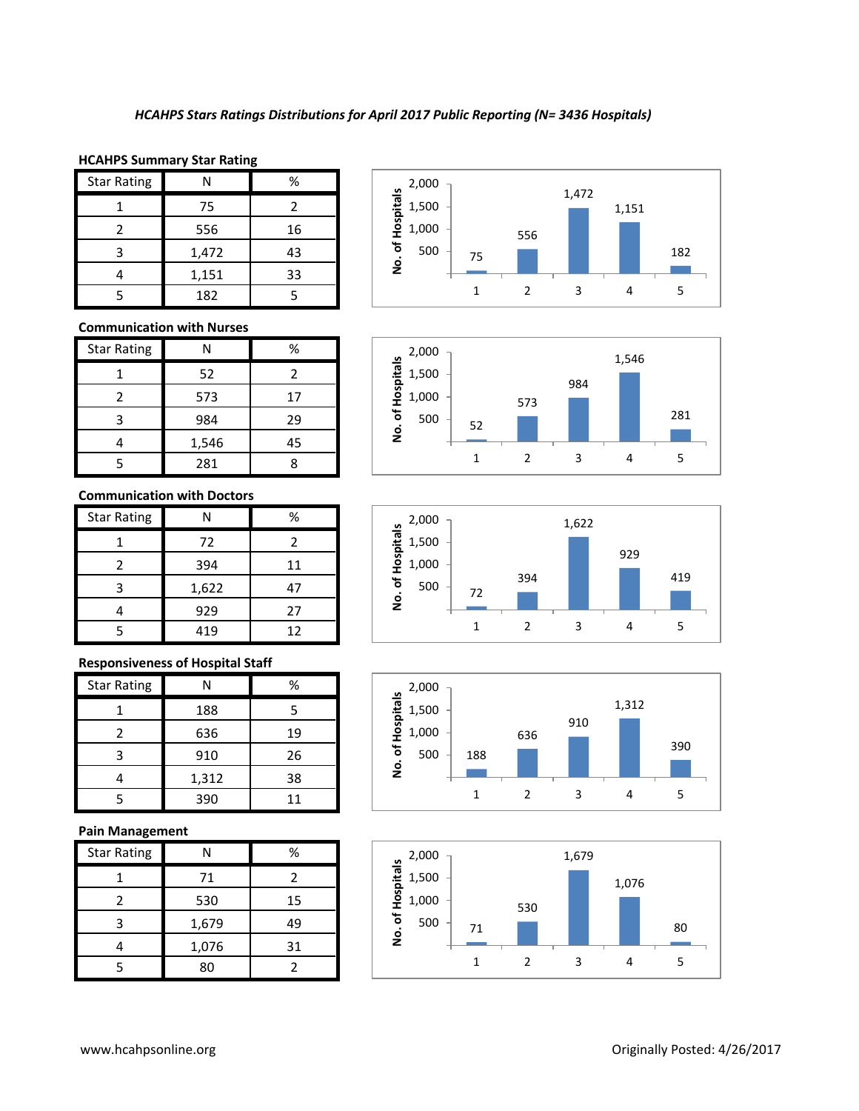### **HCAHPS Summary Star Rating**

| <b>Star Rating</b> |       | %  |
|--------------------|-------|----|
|                    | 75    |    |
|                    | 556   | 16 |
| 3                  | 1,472 | 43 |
|                    | 1,151 | 33 |
|                    | 182   |    |

# **Communication with Nurses**

| <b>Star Rating</b> | Ν     | ℅  |
|--------------------|-------|----|
|                    | 52    | 2  |
| 2                  | 573   | 17 |
| 3                  | 984   | 29 |
|                    | 1,546 | 45 |
|                    | 281   |    |

#### **Communication with Doctors**

| <b>Star Rating</b> | N     | ℅  |
|--------------------|-------|----|
|                    | 72    | 2  |
| 2                  | 394   | 11 |
| 3                  | 1,622 | 47 |
|                    | 929   | 27 |
|                    | 419   | 12 |

# **Responsiveness of Hospital Staff**

| <b>Star Rating</b> |       | %  |
|--------------------|-------|----|
|                    | 188   | 5  |
|                    | 636   | 19 |
| ς                  | 910   | 26 |
|                    | 1,312 | 38 |
|                    | 390   | 11 |

# **Pain Management**

| <b>Star Rating</b> |       | %  |
|--------------------|-------|----|
|                    | 71    |    |
|                    | 530   | 15 |
| ੨                  | 1,679 | 49 |
|                    | 1,076 | 31 |
|                    | 80    |    |









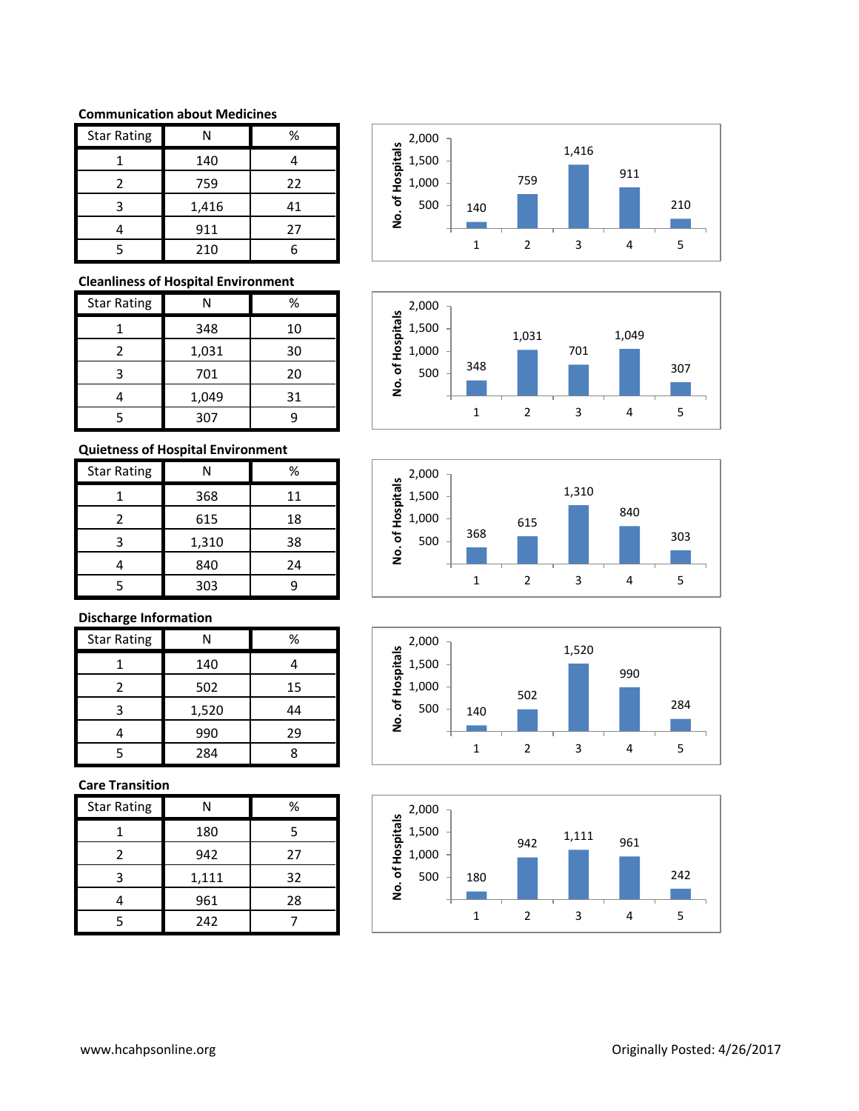#### **Communication about Medicines**

| <b>Star Rating</b> | N     | %  |
|--------------------|-------|----|
|                    | 140   |    |
| 2                  | 759   | 22 |
| ς                  | 1,416 | 41 |
|                    | 911   | 27 |
|                    | 210   |    |

# **Cleanliness of Hospital Environment**

| <b>Star Rating</b> | Ν     | %  |
|--------------------|-------|----|
|                    | 348   | 10 |
| 2                  | 1,031 | 30 |
| З                  | 701   | 20 |
|                    | 1,049 | 31 |
|                    | 307   |    |

# **Quietness of Hospital Environment**

| <b>Star Rating</b> |       | %  |
|--------------------|-------|----|
|                    | 368   | 11 |
| 2                  | 615   | 18 |
| 3                  | 1,310 | 38 |
|                    | 840   | 24 |
|                    | 303   |    |

# **Discharge Information**

| <b>Star Rating</b> | N     | %  |
|--------------------|-------|----|
|                    | 140   |    |
| 2                  | 502   | 15 |
|                    | 1,520 | 44 |
|                    | 990   | 29 |
|                    | 284   |    |

### **Care Transition**

| <b>Star Rating</b> |       | %  |
|--------------------|-------|----|
|                    | 180   | 5  |
| 2                  | 942   | 27 |
| 3                  | 1,111 | 32 |
|                    | 961   | 28 |
| ς                  | 242   |    |